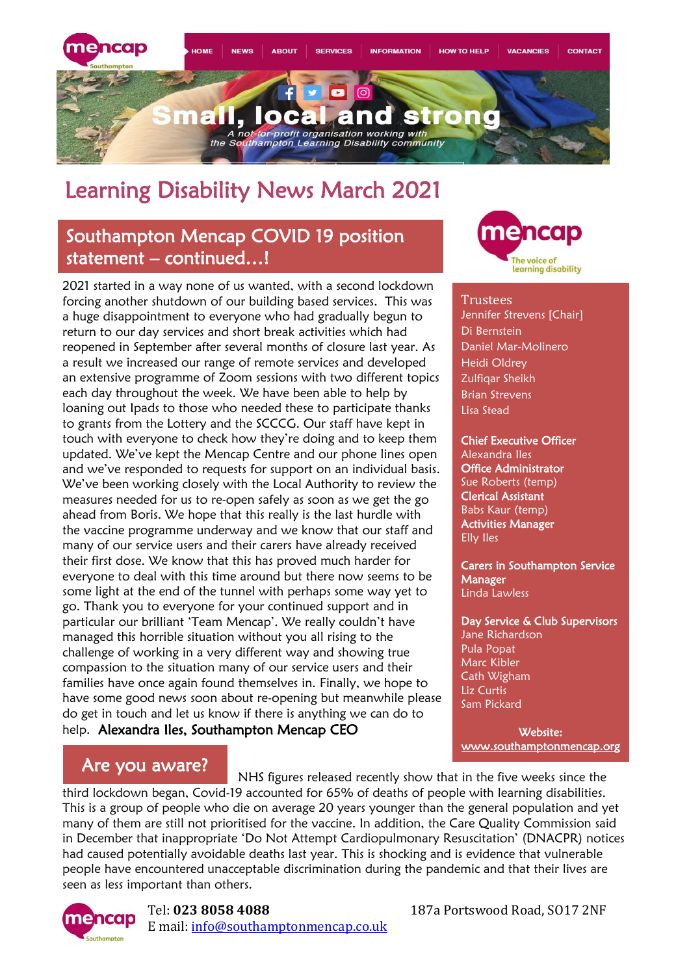

## Learning Disability News March 2021

## Southampton Mencap COVID 19 position statement – continued…!

2021 started in a way none of us wanted, with a second lockdown forcing another shutdown of our building based services. This was a huge disappointment to everyone who had gradually begun to return to our day services and short break activities which had reopened in September after several months of closure last year. As a result we increased our range of remote services and developed an extensive programme of Zoom sessions with two different topics each day throughout the week. We have been able to help by loaning out Ipads to those who needed these to participate thanks to grants from the Lottery and the SCCCG. Our staff have kept in touch with everyone to check how they're doing and to keep them updated. We've kept the Mencap Centre and our phone lines open and we've responded to requests for support on an individual basis. We've been working closely with the Local Authority to review the measures needed for us to re-open safely as soon as we get the go ahead from Boris. We hope that this really is the last hurdle with the vaccine programme underway and we know that our staff and many of our service users and their carers have already received their first dose. We know that this has proved much harder for everyone to deal with this time around but there now seems to be some light at the end of the tunnel with perhaps some way yet to go. Thank you to everyone for your continued support and in particular our brilliant 'Team Mencap'. We really couldn't have managed this horrible situation without you all rising to the challenge of working in a very different way and showing true compassion to the situation many of our service users and their families have once again found themselves in. Finally, we hope to have some good news soon about re-opening but meanwhile please do get in touch and let us know if there is anything we can do to help. Alexandra Iles, Southampton Mencap CEO



#### **Trustees**

Jennifer Strevens [Chair] Di Bernstein Daniel Mar-Molinero Heidi Oldrey Zulfiqar Sheikh Brian Strevens Lisa Stead

Chief Executive Officer Alexandra Iles **Office Administrator** Sue Roberts (temp) Clerical Assistant Babs Kaur (temp) Activities Manager Elly Iles

Carers in Southampton Service Manager Linda Lawless

Day Service & Club Supervisors Jane Richardson Pula Popat Marc Kibler Cath Wigham Liz Curtis Sam Pickard

Website: [www.southamptonmencap.org](http://www.southamptonmencap.org/) 

## Are you aware?

NHS figures released recently show that in the five weeks since the

third lockdown began, Covid-19 accounted for 65% of deaths of people with learning disabilities. This is a group of people who die on average 20 years younger than the general population and yet many of them are still not prioritised for the vaccine. In addition, the Care Quality Commission said in December that inappropriate 'Do Not Attempt Cardiopulmonary Resuscitation' (DNACPR) notices had caused potentially avoidable deaths last year. This is shocking and is evidence that vulnerable people have encountered unacceptable discrimination during the pandemic and that their lives are seen as less important than others.



### Tel: **023 8058 4088** 187a Portswood Road, SO17 2NF E mail: [info@southamptonmencap.co.uk](mailto:info@southamptonmencap.co.uk)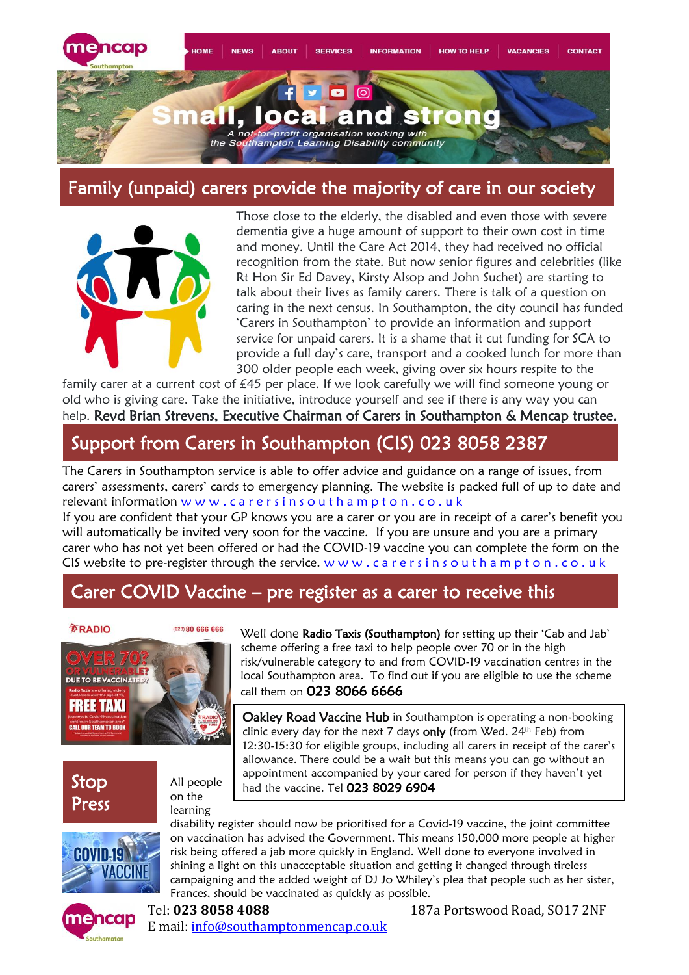

## Family (unpaid) carers provide the majority of care in our society



Those close to the elderly, the disabled and even those with severe dementia give a huge amount of support to their own cost in time and money. Until the Care Act 2014, they had received no official recognition from the state. But now senior figures and celebrities (like Rt Hon Sir Ed Davey, Kirsty Alsop and John Suchet) are starting to talk about their lives as family carers. There is talk of a question on caring in the next census. In Southampton, the city council has funded 'Carers in Southampton' to provide an information and support service for unpaid carers. It is a shame that it cut funding for SCA to provide a full day's care, transport and a cooked lunch for more than 300 older people each week, giving over six hours respite to the

family carer at a current cost of £45 per place. If we look carefully we will find someone young or old who is giving care. Take the initiative, introduce yourself and see if there is any way you can help. Revd Brian Strevens, Executive Chairman of Carers in Southampton & Mencap trustee.

## Support from Carers in Southampton (CIS) 023 8058 2387

The Carers in Southampton service is able to offer advice and guidance on a range of issues, from carers' assessments, carers' cards to emergency planning. The website is packed full of up to date and relevant information www.carersinsouthampton.co.uk

If you are confident that your GP knows you are a carer or you are in receipt of a carer's benefit you will automatically be invited very soon for the vaccine. If you are unsure and you are a primary carer who has not yet been offered or had the COVID-19 vaccine you can complete the form on the CIS website to pre-register through the service.  $w w w$ . c a r e r s i n s o u t h a m p t o n . c o . u k

## Carer COVID Vaccine – pre register as a carer to receive this



Stop Press



Well done [Radio Taxis \(Southampton\)](https://www.facebook.com/radiotaxissouthampton/?__cft__%5b0%5d=AZXWBteJmk9gVoSa1lhS5db5fczPOCW6ZcQlv2JIHvMJWX5fGkih-MChyFvXtE8efQlWTJd4JEHtihz3elB8WfvxWYbbSH2vxnp4Es-RnaGuqmt9thGo19UGQJFLTY2yG9qnaypj57axibX4D3CPNaYakbOvXnZrx6Piq1GUC8jSmgXfgrIpY3F6O8q6Buw0T0Q&__tn__=kK-R) for setting up their 'Cab and Jab' scheme [offering](https://www.facebook.com/radiotaxissouthampton/?__cft__%5b0%5d=AZXWBteJmk9gVoSa1lhS5db5fczPOCW6ZcQlv2JIHvMJWX5fGkih-MChyFvXtE8efQlWTJd4JEHtihz3elB8WfvxWYbbSH2vxnp4Es-RnaGuqmt9thGo19UGQJFLTY2yG9qnaypj57axibX4D3CPNaYakbOvXnZrx6Piq1GUC8jSmgXfgrIpY3F6O8q6Buw0T0Q&__tn__=kK-R) a free taxi to help people over 70 or in the high [risk/vulnerable](https://www.facebook.com/radiotaxissouthampton/?__cft__%5b0%5d=AZXWBteJmk9gVoSa1lhS5db5fczPOCW6ZcQlv2JIHvMJWX5fGkih-MChyFvXtE8efQlWTJd4JEHtihz3elB8WfvxWYbbSH2vxnp4Es-RnaGuqmt9thGo19UGQJFLTY2yG9qnaypj57axibX4D3CPNaYakbOvXnZrx6Piq1GUC8jSmgXfgrIpY3F6O8q6Buw0T0Q&__tn__=kK-R) category to and from COVID-19 vaccination centres in the local [Southampton](https://www.facebook.com/radiotaxissouthampton/?__cft__%5b0%5d=AZXWBteJmk9gVoSa1lhS5db5fczPOCW6ZcQlv2JIHvMJWX5fGkih-MChyFvXtE8efQlWTJd4JEHtihz3elB8WfvxWYbbSH2vxnp4Es-RnaGuqmt9thGo19UGQJFLTY2yG9qnaypj57axibX4D3CPNaYakbOvXnZrx6Piq1GUC8jSmgXfgrIpY3F6O8q6Buw0T0Q&__tn__=kK-R) area. To find out if you are eligible to use the scheme call them on [023 8066 6666](https://www.facebook.com/radiotaxissouthampton/?__cft__%5b0%5d=AZXWBteJmk9gVoSa1lhS5db5fczPOCW6ZcQlv2JIHvMJWX5fGkih-MChyFvXtE8efQlWTJd4JEHtihz3elB8WfvxWYbbSH2vxnp4Es-RnaGuqmt9thGo19UGQJFLTY2yG9qnaypj57axibX4D3CPNaYakbOvXnZrx6Piq1GUC8jSmgXfgrIpY3F6O8q6Buw0T0Q&__tn__=kK-R)

Oakley Road Vaccine Hub in Southampton is operating a non-booking clinic every day for the next 7 days only (from Wed.  $24<sup>th</sup>$  Feb) from 12:30-15:30 for eligible groups, including all carers in receipt of the carer's allowance. There could be a wait but this means you can go without an appointment accompanied by your cared for person if they haven't yet had the vaccine. Tel 023 8029 6904

learning

All people on the



disability register should now be prioritised for a Covid-19 vaccine, the joint committee on vaccination has advised the Government. This means 150,000 more people at higher risk being offered a jab more quickly in England. Well done to everyone involved in shining a light on this unacceptable situation and getting it changed through tireless campaigning and the added weight of DJ Jo Whiley's plea that people such as her sister, Frances, should be vaccinated as quickly as possible.



Tel: **023 8058 4088** 187a Portswood Road, SO17 2NF E mail: [info@southamptonmencap.co.uk](mailto:info@southamptonmencap.co.uk)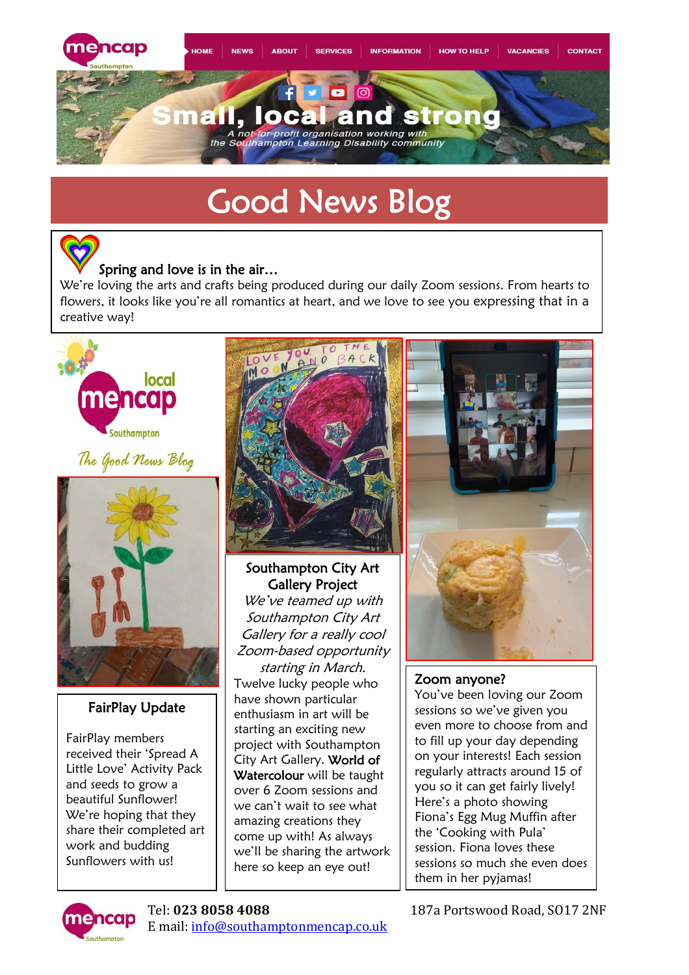

# Good News Blog

### Spring and love is in the air…

We're loving the arts and crafts being produced during our daily Zoom sessions. From hearts to flowers, it looks like you're all romantics at heart, and we love to see you expressing that in a creative way!



## The Good News Blog



### FairPlay Update

FairPlay members received their 'Spread A Little Love' Activity Pack and seeds to grow a beautiful Sunflower! We're hoping that they share their completed art work and budding Sunflowers with us!



### Southampton City Art Gallery Project

We've teamed up with Southampton City Art Gallery for a really cool Zoom-based opportunity

starting in March. Twelve lucky people who have shown particular enthusiasm in art will be starting an exciting new project with Southampton City Art Gallery. World of Watercolour will be taught over 6 Zoom sessions and we can't wait to see what amazing creations they come up with! As always we'll be sharing the artwork here so keep an eye out!



### Zoom anyone?

You've been loving our Zoom sessions so we've given you even more to choose from and to fill up your day depending on your interests! Each session regularly attracts around 15 of you so it can get fairly lively! Here's a photo showing Fiona's Egg Mug Muffin after the 'Cooking with Pula' session. Fiona loves these sessions so much she even does them in her pyjamas!